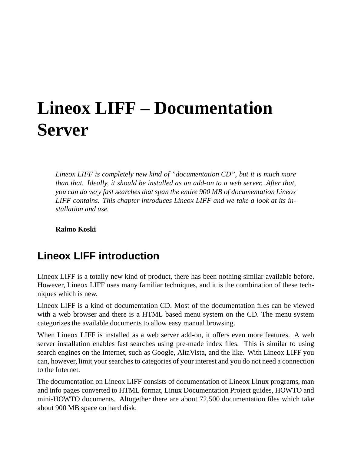# **Lineox LIFF – Documentation Server**

*Lineox LIFF is completely new kind of "documentation CD", but it is much more than that. Ideally, it should be installed as an add-on to a web server. After that, you can do very fast searches that span the entire 900 MB of documentation Lineox LIFF contains. This chapter introduces Lineox LIFF and we take a look at its installation and use.*

**Raimo Koski**

## **Lineox LIFF introduction**

Lineox LIFF is a totally new kind of product, there has been nothing similar available before. However, Lineox LIFF uses many familiar techniques, and it is the combination of these techniques which is new.

Lineox LIFF is a kind of documentation CD. Most of the documentation files can be viewed with a web browser and there is a HTML based menu system on the CD. The menu system categorizes the available documents to allow easy manual browsing.

When Lineox LIFF is installed as a web server add-on, it offers even more features. A web server installation enables fast searches using pre-made index files. This is similar to using search engines on the Internet, such as Google, AltaVista, and the like. With Lineox LIFF you can, however, limit yoursearches to categories of your interest and you do not need a connection to the Internet.

The documentation on Lineox LIFF consists of documentation of Lineox Linux programs, man and info pages converted to HTML format, Linux Documentation Project guides, HOWTO and mini-HOWTO documents. Altogether there are about 72,500 documentation files which take about 900 MB space on hard disk.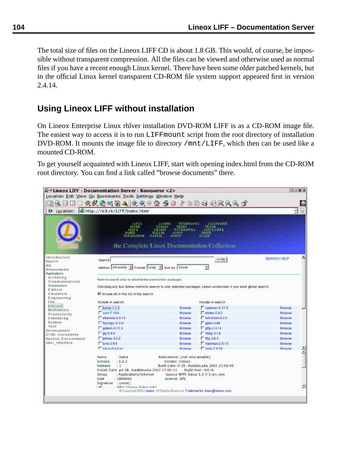The total size of files on the Lineox LIFF CD is about 1.8 GB. This would, of course, be impossible without transparent compression. All the files can be viewed and otherwise used as normal files if you have a recent enough Linux kernel. There have been some older patched kernels, but in the official Linux kernel transparent CD-ROM file system support appeared first in version 2.4.14.

## **Using Lineox LIFF without installation**

On Lineox Enterprise Linux rhlver installation DVD-ROM LIFF is as a CD-ROM image file. The easiest way to access it is to run LIFFmount script from the root directory of installation DVD-ROM. It mounts the image file to directory /mnt/LIFF, which then can be used like a mounted CD-ROM.

To get yourself acquainted with Lineox LIFF, start with opening index.html from the CD-ROM root directory. You can find a link called "browse documents" there.

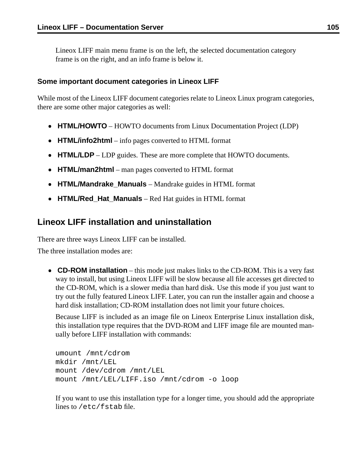Lineox LIFF main menu frame is on the left, the selected documentation category frame is on the right, and an info frame is below it.

#### **Some important document categories in Lineox LIFF**

While most of the Lineox LIFF document categories relate to Lineox Linux program categories, there are some other major categories as well:

- **HTML/HOWTO** HOWTO documents from Linux Documentation Project (LDP)
- **HTML/info2html** info pages converted to HTML format
- **HTML/LDP** LDP guides. These are more complete that HOWTO documents.
- **HTML/man2html** man pages converted to HTML format
- **HTML/Mandrake\_Manuals** Mandrake guides in HTML format
- **HTML/Red\_Hat\_Manuals** Red Hat guides in HTML format

## **Lineox LIFF installation and uninstallation**

There are three ways Lineox LIFF can be installed.

The three installation modes are:

 **CD-ROM installation** – this mode just makes links to the CD-ROM. This is a very fast way to install, but using Lineox LIFF will be slow because all file accesses get directed to the CD-ROM, which is a slower media than hard disk. Use this mode if you just want to try out the fully featured Lineox LIFF. Later, you can run the installer again and choose a hard disk installation; CD-ROM installation does not limit your future choices.

Because LIFF is included as an image file on Lineox Enterprise Linux installation disk, this installation type requires that the DVD-ROM and LIFF image file are mounted manually before LIFF installation with commands:

```
umount /mnt/cdrom
mkdir /mnt/LEL
mount /dev/cdrom /mnt/LEL
mount /mnt/LEL/LIFF.iso /mnt/cdrom -o loop
```
If you want to use this installation type for a longer time, you should add the appropriate lines to /etc/fstab file.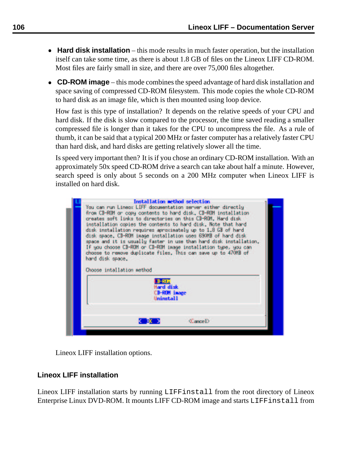- **Hard disk installation** this mode results in much faster operation, but the installation itself can take some time, as there is about 1.8 GB of files on the Lineox LIFF CD-ROM. Most files are fairly small in size, and there are over 75,000 files altogether.
- **CD-ROM** image this mode combines the speed advantage of hard disk installation and space saving of compressed CD-ROM filesystem. This mode copies the whole CD-ROM to hard disk as an image file, which is then mounted using loop device.

How fast is this type of installation? It depends on the relative speeds of your CPU and hard disk. If the disk is slow compared to the processor, the time saved reading a smaller compressed file is longer than it takes for the CPU to uncompress the file. As a rule of thumb, it can be said that a typical 200 MHz or faster computer has a relatively faster CPU than hard disk, and hard disks are getting relatively slower all the time.

Is speed very important then? It is if you chose an ordinary CD-ROM installation. With an approximately 50x speed CD-ROM drive a search can take about half a minute. However, search speed is only about 5 seconds on a 200 MHz computer when Lineox LIFF is installed on hard disk.



Lineox LIFF installation options.

### **Lineox LIFF installation**

Lineox LIFF installation starts by running LIFFinstall from the root directory of Lineox Enterprise Linux DVD-ROM. It mounts LIFF CD-ROM image and starts LIFFinstall from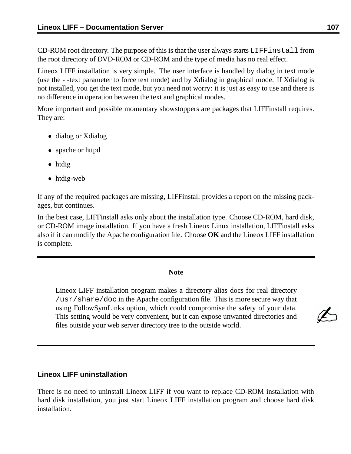CD-ROM root directory. The purpose of this is that the user always starts LIFFinstall from the root directory of DVD-ROM or CD-ROM and the type of media has no real effect.

Lineox LIFF installation is very simple. The user interface is handled by dialog in text mode (use the - -text parameter to force text mode) and by Xdialog in graphical mode. If Xdialog is not installed, you get the text mode, but you need not worry: it is just as easy to use and there is no difference in operation between the text and graphical modes.

More important and possible momentary showstoppers are packages that LIFFinstall requires. They are:

- dialog or Xdialog
- apache or httpd
- htdig
- htdig-web

If any of the required packages are missing, LIFFinstall provides a report on the missing packages, but continues.

In the best case, LIFFinstall asks only about the installation type. Choose CD-ROM, hard disk, or CD-ROM image installation. If you have a fresh Lineox Linux installation, LIFFinstall asks also if it can modify the Apache configuration file. Choose **OK** and the Lineox LIFF installation is complete.

#### **Note**

Lineox LIFF installation program makes a directory alias docs for real directory /usr/share/doc in the Apache configuration file. This is more secure way that using FollowSymLinks option, which could compromise the safety of your data. This setting would be very convenient, but it can expose unwanted directories and files outside your web server directory tree to the outside world.

#### **Lineox LIFF uninstallation**

There is no need to uninstall Lineox LIFF if you want to replace CD-ROM installation with hard disk installation, you just start Lineox LIFF installation program and choose hard disk installation.

Z.